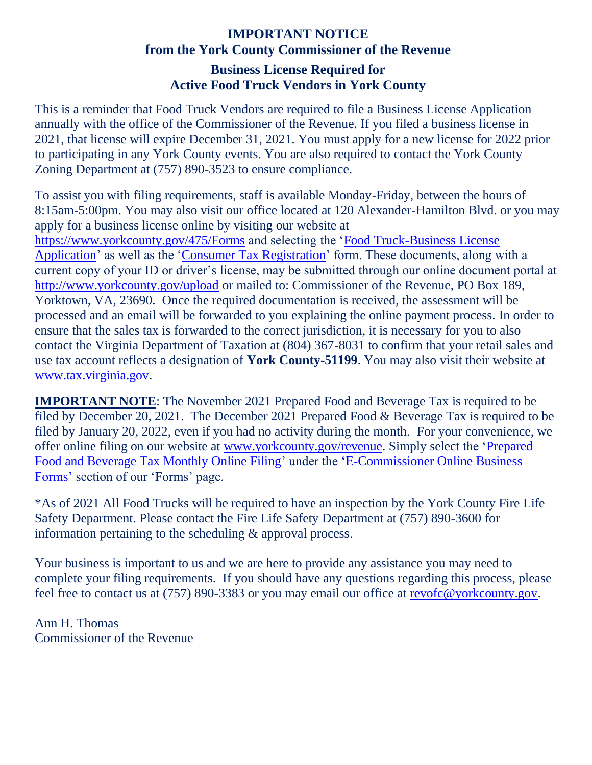## **IMPORTANT NOTICE from the York County Commissioner of the Revenue Business License Required for Active Food Truck Vendors in York County**

This is a reminder that Food Truck Vendors are required to file a Business License Application annually with the office of the Commissioner of the Revenue. If you filed a business license in 2021, that license will expire December 31, 2021. You must apply for a new license for 2022 prior to participating in any York County events. You are also required to contact the York County Zoning Department at (757) 890-3523 to ensure compliance.

To assist you with filing requirements, staff is available Monday-Friday, between the hours of 8:15am-5:00pm. You may also visit our office located at 120 Alexander-Hamilton Blvd. or you may apply for a business license online by visiting our website at <https://www.yorkcounty.gov/475/Forms> and selecting the ['Food Truck-Business License](https://www.yorkcounty.gov/DocumentCenter/View/14713/Food-Truck-Application-PDF)  [Application'](https://www.yorkcounty.gov/DocumentCenter/View/14713/Food-Truck-Application-PDF) as well as the ['Consumer Tax Registration'](https://www.yorkcounty.gov/DocumentCenter/View/664/Consumer-Tax-Registration-PDF?bidId=) form. These documents, along with a current copy of your ID or driver's license, may be submitted through our online document portal at <http://www.yorkcounty.gov/upload> or mailed to: Commissioner of the Revenue, PO Box 189, Yorktown, VA, 23690. Once the required documentation is received, the assessment will be processed and an email will be forwarded to you explaining the online payment process. In order to ensure that the sales tax is forwarded to the correct jurisdiction, it is necessary for you to also contact the Virginia Department of Taxation at (804) 367-8031 to confirm that your retail sales and use tax account reflects a designation of **York County-51199**. You may also visit their website at [www.tax.virginia.gov.](http://www.tax.virginia.gov/)

**IMPORTANT NOTE:** The November 2021 Prepared Food and Beverage Tax is required to be filed by December 20, 2021. The December 2021 Prepared Food & Beverage Tax is required to be filed by January 20, 2022, even if you had no activity during the month. For your convenience, we offer online filing on our website at [www.yorkcounty.gov/revenue.](http://www.yorkcounty.gov/revenue) Simply select the 'Prepared Food and Beverage Tax Monthly Online Filing' under the 'E-Commissioner Online Business Forms' section of our 'Forms' page.

\*As of 2021 All Food Trucks will be required to have an inspection by the York County Fire Life Safety Department. Please contact the Fire Life Safety Department at (757) 890-3600 for information pertaining to the scheduling & approval process.

Your business is important to us and we are here to provide any assistance you may need to complete your filing requirements. If you should have any questions regarding this process, please feel free to contact us at (757) 890-3383 or you may email our office at [revofc@yorkcounty.gov.](mailto:revofc@yorkcounty.gov)

Ann H. Thomas Commissioner of the Revenue